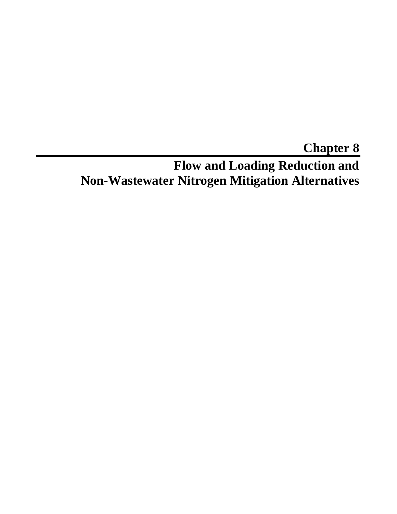# **Chapter 8 Flow and Loading Reduction and Non-Wastewater Nitrogen Mitigation Alternatives**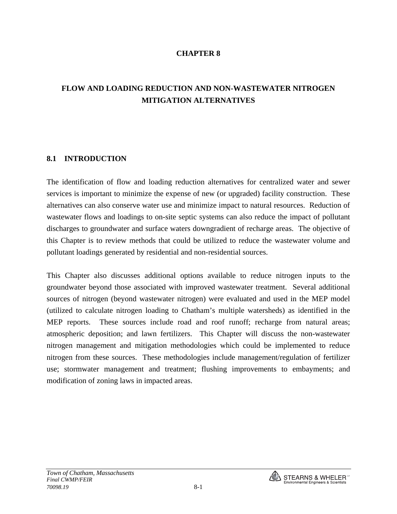#### **CHAPTER 8**

# **FLOW AND LOADING REDUCTION AND NON-WASTEWATER NITROGEN MITIGATION ALTERNATIVES**

#### **8.1 INTRODUCTION**

The identification of flow and loading reduction alternatives for centralized water and sewer services is important to minimize the expense of new (or upgraded) facility construction. These alternatives can also conserve water use and minimize impact to natural resources. Reduction of wastewater flows and loadings to on-site septic systems can also reduce the impact of pollutant discharges to groundwater and surface waters downgradient of recharge areas. The objective of this Chapter is to review methods that could be utilized to reduce the wastewater volume and pollutant loadings generated by residential and non-residential sources.

This Chapter also discusses additional options available to reduce nitrogen inputs to the groundwater beyond those associated with improved wastewater treatment. Several additional sources of nitrogen (beyond wastewater nitrogen) were evaluated and used in the MEP model (utilized to calculate nitrogen loading to Chatham's multiple watersheds) as identified in the MEP reports. These sources include road and roof runoff; recharge from natural areas; atmospheric deposition; and lawn fertilizers. This Chapter will discuss the non-wastewater nitrogen management and mitigation methodologies which could be implemented to reduce nitrogen from these sources. These methodologies include management/regulation of fertilizer use; stormwater management and treatment; flushing improvements to embayments; and modification of zoning laws in impacted areas.

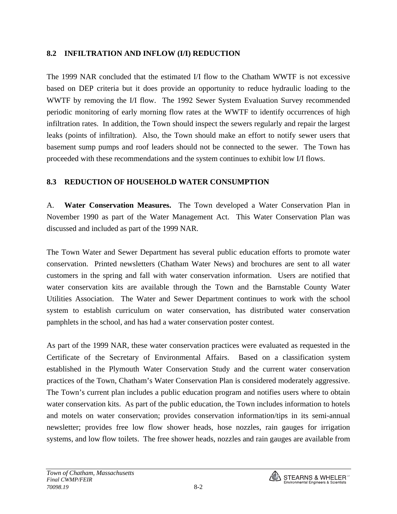## **8.2 INFILTRATION AND INFLOW (I/I) REDUCTION**

The 1999 NAR concluded that the estimated I/I flow to the Chatham WWTF is not excessive based on DEP criteria but it does provide an opportunity to reduce hydraulic loading to the WWTF by removing the I/I flow. The 1992 Sewer System Evaluation Survey recommended periodic monitoring of early morning flow rates at the WWTF to identify occurrences of high infiltration rates. In addition, the Town should inspect the sewers regularly and repair the largest leaks (points of infiltration). Also, the Town should make an effort to notify sewer users that basement sump pumps and roof leaders should not be connected to the sewer. The Town has proceeded with these recommendations and the system continues to exhibit low I/I flows.

## **8.3 REDUCTION OF HOUSEHOLD WATER CONSUMPTION**

A. **Water Conservation Measures.** The Town developed a Water Conservation Plan in November 1990 as part of the Water Management Act. This Water Conservation Plan was discussed and included as part of the 1999 NAR.

The Town Water and Sewer Department has several public education efforts to promote water conservation. Printed newsletters (Chatham Water News) and brochures are sent to all water customers in the spring and fall with water conservation information. Users are notified that water conservation kits are available through the Town and the Barnstable County Water Utilities Association. The Water and Sewer Department continues to work with the school system to establish curriculum on water conservation, has distributed water conservation pamphlets in the school, and has had a water conservation poster contest.

As part of the 1999 NAR, these water conservation practices were evaluated as requested in the Certificate of the Secretary of Environmental Affairs. Based on a classification system established in the Plymouth Water Conservation Study and the current water conservation practices of the Town, Chatham's Water Conservation Plan is considered moderately aggressive. The Town's current plan includes a public education program and notifies users where to obtain water conservation kits. As part of the public education, the Town includes information to hotels and motels on water conservation; provides conservation information/tips in its semi-annual newsletter; provides free low flow shower heads, hose nozzles, rain gauges for irrigation systems, and low flow toilets. The free shower heads, nozzles and rain gauges are available from

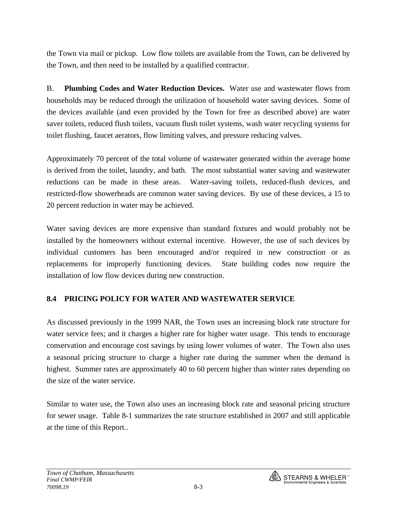the Town via mail or pickup. Low flow toilets are available from the Town, can be delivered by the Town, and then need to be installed by a qualified contractor.

B. **Plumbing Codes and Water Reduction Devices.** Water use and wastewater flows from households may be reduced through the utilization of household water saving devices. Some of the devices available (and even provided by the Town for free as described above) are water saver toilets, reduced flush toilets, vacuum flush toilet systems, wash water recycling systems for toilet flushing, faucet aerators, flow limiting valves, and pressure reducing valves.

Approximately 70 percent of the total volume of wastewater generated within the average home is derived from the toilet, laundry, and bath. The most substantial water saving and wastewater reductions can be made in these areas. Water-saving toilets, reduced-flush devices, and restricted-flow showerheads are common water saving devices. By use of these devices, a 15 to 20 percent reduction in water may be achieved.

Water saving devices are more expensive than standard fixtures and would probably not be installed by the homeowners without external incentive. However, the use of such devices by individual customers has been encouraged and/or required in new construction or as replacements for improperly functioning devices. State building codes now require the installation of low flow devices during new construction.

## **8.4 PRICING POLICY FOR WATER AND WASTEWATER SERVICE**

As discussed previously in the 1999 NAR, the Town uses an increasing block rate structure for water service fees; and it charges a higher rate for higher water usage. This tends to encourage conservation and encourage cost savings by using lower volumes of water. The Town also uses a seasonal pricing structure to charge a higher rate during the summer when the demand is highest. Summer rates are approximately 40 to 60 percent higher than winter rates depending on the size of the water service.

Similar to water use, the Town also uses an increasing block rate and seasonal pricing structure for sewer usage. Table 8-1 summarizes the rate structure established in 2007 and still applicable at the time of this Report..

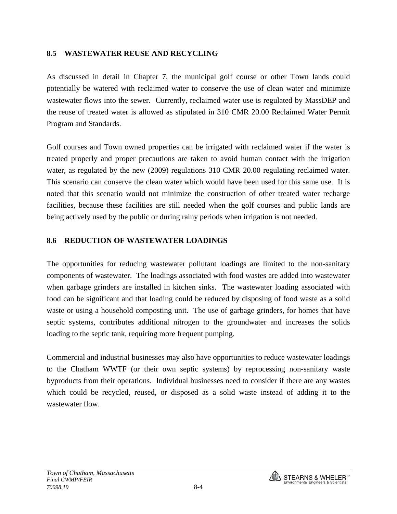## **8.5 WASTEWATER REUSE AND RECYCLING**

As discussed in detail in Chapter 7, the municipal golf course or other Town lands could potentially be watered with reclaimed water to conserve the use of clean water and minimize wastewater flows into the sewer. Currently, reclaimed water use is regulated by MassDEP and the reuse of treated water is allowed as stipulated in 310 CMR 20.00 Reclaimed Water Permit Program and Standards.

Golf courses and Town owned properties can be irrigated with reclaimed water if the water is treated properly and proper precautions are taken to avoid human contact with the irrigation water, as regulated by the new (2009) regulations 310 CMR 20.00 regulating reclaimed water. This scenario can conserve the clean water which would have been used for this same use. It is noted that this scenario would not minimize the construction of other treated water recharge facilities, because these facilities are still needed when the golf courses and public lands are being actively used by the public or during rainy periods when irrigation is not needed.

#### **8.6 REDUCTION OF WASTEWATER LOADINGS**

The opportunities for reducing wastewater pollutant loadings are limited to the non-sanitary components of wastewater. The loadings associated with food wastes are added into wastewater when garbage grinders are installed in kitchen sinks. The wastewater loading associated with food can be significant and that loading could be reduced by disposing of food waste as a solid waste or using a household composting unit. The use of garbage grinders, for homes that have septic systems, contributes additional nitrogen to the groundwater and increases the solids loading to the septic tank, requiring more frequent pumping.

Commercial and industrial businesses may also have opportunities to reduce wastewater loadings to the Chatham WWTF (or their own septic systems) by reprocessing non-sanitary waste byproducts from their operations. Individual businesses need to consider if there are any wastes which could be recycled, reused, or disposed as a solid waste instead of adding it to the wastewater flow.

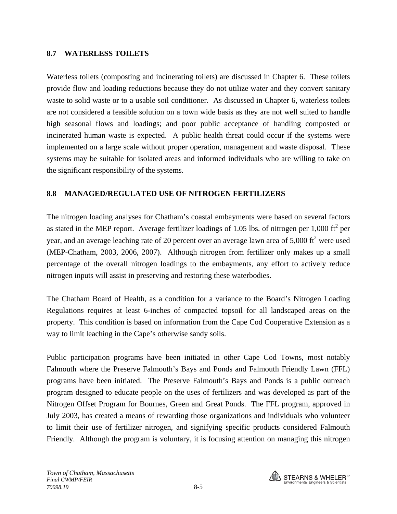## **8.7 WATERLESS TOILETS**

Waterless toilets (composting and incinerating toilets) are discussed in Chapter 6. These toilets provide flow and loading reductions because they do not utilize water and they convert sanitary waste to solid waste or to a usable soil conditioner. As discussed in Chapter 6, waterless toilets are not considered a feasible solution on a town wide basis as they are not well suited to handle high seasonal flows and loadings; and poor public acceptance of handling composted or incinerated human waste is expected. A public health threat could occur if the systems were implemented on a large scale without proper operation, management and waste disposal. These systems may be suitable for isolated areas and informed individuals who are willing to take on the significant responsibility of the systems.

## **8.8 MANAGED/REGULATED USE OF NITROGEN FERTILIZERS**

The nitrogen loading analyses for Chatham's coastal embayments were based on several factors as stated in the MEP report. Average fertilizer loadings of 1.05 lbs. of nitrogen per 1,000 ft<sup>2</sup> per year, and an average leaching rate of 20 percent over an average lawn area of 5,000 ft<sup>2</sup> were used (MEP-Chatham, 2003, 2006, 2007). Although nitrogen from fertilizer only makes up a small percentage of the overall nitrogen loadings to the embayments, any effort to actively reduce nitrogen inputs will assist in preserving and restoring these waterbodies.

The Chatham Board of Health, as a condition for a variance to the Board's Nitrogen Loading Regulations requires at least 6-inches of compacted topsoil for all landscaped areas on the property. This condition is based on information from the Cape Cod Cooperative Extension as a way to limit leaching in the Cape's otherwise sandy soils.

Public participation programs have been initiated in other Cape Cod Towns, most notably Falmouth where the Preserve Falmouth's Bays and Ponds and Falmouth Friendly Lawn (FFL) programs have been initiated. The Preserve Falmouth's Bays and Ponds is a public outreach program designed to educate people on the uses of fertilizers and was developed as part of the Nitrogen Offset Program for Bournes, Green and Great Ponds. The FFL program, approved in July 2003, has created a means of rewarding those organizations and individuals who volunteer to limit their use of fertilizer nitrogen, and signifying specific products considered Falmouth Friendly. Although the program is voluntary, it is focusing attention on managing this nitrogen

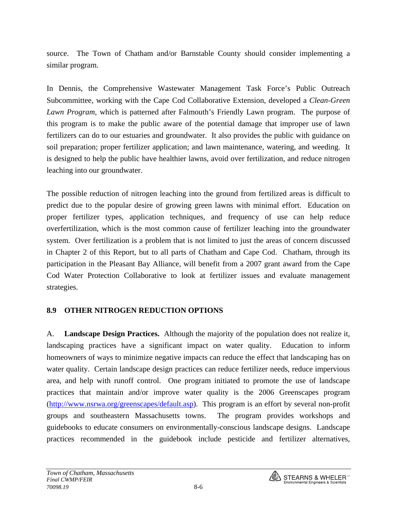source. The Town of Chatham and/or Barnstable County should consider implementing a similar program.

In Dennis, the Comprehensive Wastewater Management Task Force's Public Outreach Subcommittee, working with the Cape Cod Collaborative Extension, developed a *Clean-Green Lawn Program*, which is patterned after Falmouth's Friendly Lawn program. The purpose of this program is to make the public aware of the potential damage that improper use of lawn fertilizers can do to our estuaries and groundwater. It also provides the public with guidance on soil preparation; proper fertilizer application; and lawn maintenance, watering, and weeding. It is designed to help the public have healthier lawns, avoid over fertilization, and reduce nitrogen leaching into our groundwater.

The possible reduction of nitrogen leaching into the ground from fertilized areas is difficult to predict due to the popular desire of growing green lawns with minimal effort. Education on proper fertilizer types, application techniques, and frequency of use can help reduce overfertilization, which is the most common cause of fertilizer leaching into the groundwater system. Over fertilization is a problem that is not limited to just the areas of concern discussed in Chapter 2 of this Report, but to all parts of Chatham and Cape Cod. Chatham, through its participation in the Pleasant Bay Alliance, will benefit from a 2007 grant award from the Cape Cod Water Protection Collaborative to look at fertilizer issues and evaluate management strategies.

## **8.9 OTHER NITROGEN REDUCTION OPTIONS**

A. **Landscape Design Practices.** Although the majority of the population does not realize it, landscaping practices have a significant impact on water quality. Education to inform homeowners of ways to minimize negative impacts can reduce the effect that landscaping has on water quality. Certain landscape design practices can reduce fertilizer needs, reduce impervious area, and help with runoff control. One program initiated to promote the use of landscape practices that maintain and/or improve water quality is the 2006 Greenscapes program (<http://www.nsrwa.org/greenscapes/default.asp>). This program is an effort by several non-profit groups and southeastern Massachusetts towns. The program provides workshops and guidebooks to educate consumers on environmentally-conscious landscape designs. Landscape practices recommended in the guidebook include pesticide and fertilizer alternatives,

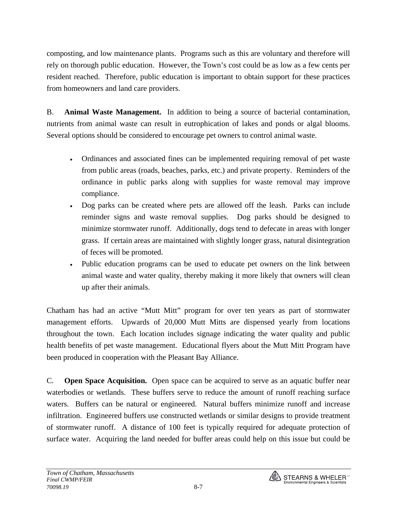composting, and low maintenance plants. Programs such as this are voluntary and therefore will rely on thorough public education. However, the Town's cost could be as low as a few cents per resident reached. Therefore, public education is important to obtain support for these practices from homeowners and land care providers.

B. **Animal Waste Management.** In addition to being a source of bacterial contamination, nutrients from animal waste can result in eutrophication of lakes and ponds or algal blooms. Several options should be considered to encourage pet owners to control animal waste.

- Ordinances and associated fines can be implemented requiring removal of pet waste from public areas (roads, beaches, parks, etc.) and private property. Reminders of the ordinance in public parks along with supplies for waste removal may improve compliance.
- Dog parks can be created where pets are allowed off the leash. Parks can include reminder signs and waste removal supplies. Dog parks should be designed to minimize stormwater runoff. Additionally, dogs tend to defecate in areas with longer grass. If certain areas are maintained with slightly longer grass, natural disintegration of feces will be promoted.
- Public education programs can be used to educate pet owners on the link between animal waste and water quality, thereby making it more likely that owners will clean up after their animals.

Chatham has had an active "Mutt Mitt" program for over ten years as part of stormwater management efforts. Upwards of 20,000 Mutt Mitts are dispensed yearly from locations throughout the town. Each location includes signage indicating the water quality and public health benefits of pet waste management. Educational flyers about the Mutt Mitt Program have been produced in cooperation with the Pleasant Bay Alliance.

C. **Open Space Acquisition.** Open space can be acquired to serve as an aquatic buffer near waterbodies or wetlands. These buffers serve to reduce the amount of runoff reaching surface waters. Buffers can be natural or engineered. Natural buffers minimize runoff and increase infiltration. Engineered buffers use constructed wetlands or similar designs to provide treatment of stormwater runoff. A distance of 100 feet is typically required for adequate protection of surface water. Acquiring the land needed for buffer areas could help on this issue but could be

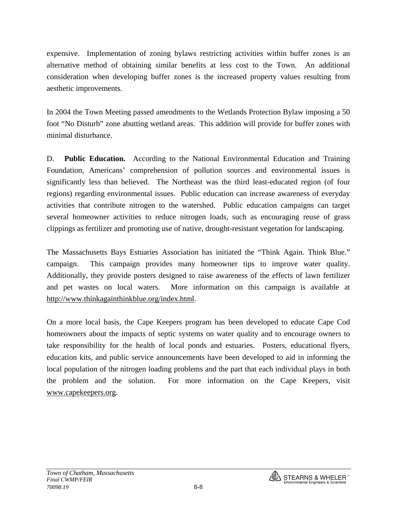expensive. Implementation of zoning bylaws restricting activities within buffer zones is an alternative method of obtaining similar benefits at less cost to the Town. An additional consideration when developing buffer zones is the increased property values resulting from aesthetic improvements.

In 2004 the Town Meeting passed amendments to the Wetlands Protection Bylaw imposing a 50 foot "No Disturb" zone abutting wetland areas. This addition will provide for buffer zones with minimal disturbance.

D. **Public Education.** According to the National Environmental Education and Training Foundation, Americans' comprehension of pollution sources and environmental issues is significantly less than believed. The Northeast was the third least-educated region (of four regions) regarding environmental issues. Public education can increase awareness of everyday activities that contribute nitrogen to the watershed. Public education campaigns can target several homeowner activities to reduce nitrogen loads, such as encouraging reuse of grass clippings as fertilizer and promoting use of native, drought-resistant vegetation for landscaping.

The Massachusetts Bays Estuaries Association has initiated the "Think Again. Think Blue." campaign. This campaign provides many homeowner tips to improve water quality. Additionally, they provide posters designed to raise awareness of the effects of lawn fertilizer and pet wastes on local waters. More information on this campaign is available at [http://www.thinkagainthinkblue.org/index.html.](http://www.thinkagainthinkblue.org/index.html)

On a more local basis, the Cape Keepers program has been developed to educate Cape Cod homeowners about the impacts of septic systems on water quality and to encourage owners to take responsibility for the health of local ponds and estuaries. Posters, educational flyers, education kits, and public service announcements have been developed to aid in informing the local population of the nitrogen loading problems and the part that each individual plays in both the problem and the solution. For more information on the Cape Keepers, visit [www.capekeepers.org.](http://www.capekeepers.org/)

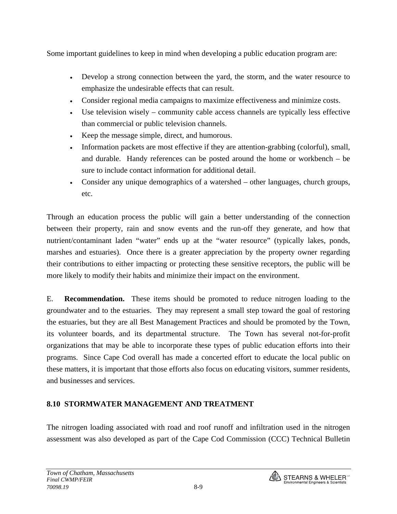Some important guidelines to keep in mind when developing a public education program are:

- Develop a strong connection between the yard, the storm, and the water resource to emphasize the undesirable effects that can result.
- Consider regional media campaigns to maximize effectiveness and minimize costs.
- Use television wisely community cable access channels are typically less effective than commercial or public television channels.
- Keep the message simple, direct, and humorous.
- Information packets are most effective if they are attention-grabbing (colorful), small, and durable. Handy references can be posted around the home or workbench – be sure to include contact information for additional detail.
- Consider any unique demographics of a watershed other languages, church groups, etc.

Through an education process the public will gain a better understanding of the connection between their property, rain and snow events and the run-off they generate, and how that nutrient/contaminant laden "water" ends up at the "water resource" (typically lakes, ponds, marshes and estuaries). Once there is a greater appreciation by the property owner regarding their contributions to either impacting or protecting these sensitive receptors, the public will be more likely to modify their habits and minimize their impact on the environment.

E. **Recommendation.** These items should be promoted to reduce nitrogen loading to the groundwater and to the estuaries. They may represent a small step toward the goal of restoring the estuaries, but they are all Best Management Practices and should be promoted by the Town, its volunteer boards, and its departmental structure. The Town has several not-for-profit organizations that may be able to incorporate these types of public education efforts into their programs. Since Cape Cod overall has made a concerted effort to educate the local public on these matters, it is important that those efforts also focus on educating visitors, summer residents, and businesses and services.

## **8.10 STORMWATER MANAGEMENT AND TREATMENT**

The nitrogen loading associated with road and roof runoff and infiltration used in the nitrogen assessment was also developed as part of the Cape Cod Commission (CCC) Technical Bulletin

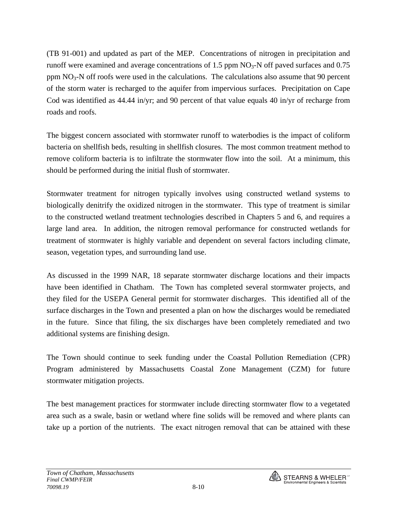(TB 91-001) and updated as part of the MEP. Concentrations of nitrogen in precipitation and runoff were examined and average concentrations of 1.5 ppm  $NO<sub>3</sub>-N$  off paved surfaces and 0.75 ppm  $NO<sub>3</sub>-N$  off roofs were used in the calculations. The calculations also assume that 90 percent of the storm water is recharged to the aquifer from impervious surfaces. Precipitation on Cape Cod was identified as 44.44 in/yr; and 90 percent of that value equals 40 in/yr of recharge from roads and roofs.

The biggest concern associated with stormwater runoff to waterbodies is the impact of coliform bacteria on shellfish beds, resulting in shellfish closures. The most common treatment method to remove coliform bacteria is to infiltrate the stormwater flow into the soil. At a minimum, this should be performed during the initial flush of stormwater.

Stormwater treatment for nitrogen typically involves using constructed wetland systems to biologically denitrify the oxidized nitrogen in the stormwater. This type of treatment is similar to the constructed wetland treatment technologies described in Chapters 5 and 6, and requires a large land area. In addition, the nitrogen removal performance for constructed wetlands for treatment of stormwater is highly variable and dependent on several factors including climate, season, vegetation types, and surrounding land use.

As discussed in the 1999 NAR, 18 separate stormwater discharge locations and their impacts have been identified in Chatham. The Town has completed several stormwater projects, and they filed for the USEPA General permit for stormwater discharges. This identified all of the surface discharges in the Town and presented a plan on how the discharges would be remediated in the future. Since that filing, the six discharges have been completely remediated and two additional systems are finishing design.

The Town should continue to seek funding under the Coastal Pollution Remediation (CPR) Program administered by Massachusetts Coastal Zone Management (CZM) for future stormwater mitigation projects.

The best management practices for stormwater include directing stormwater flow to a vegetated area such as a swale, basin or wetland where fine solids will be removed and where plants can take up a portion of the nutrients. The exact nitrogen removal that can be attained with these

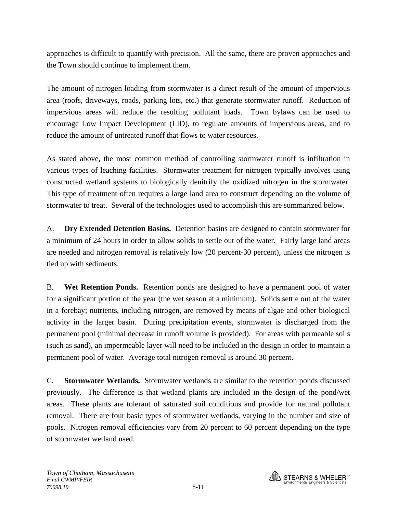approaches is difficult to quantify with precision. All the same, there are proven approaches and the Town should continue to implement them.

The amount of nitrogen loading from stormwater is a direct result of the amount of impervious area (roofs, driveways, roads, parking lots, etc.) that generate stormwater runoff. Reduction of impervious areas will reduce the resulting pollutant loads. Town bylaws can be used to encourage Low Impact Development (LID), to regulate amounts of impervious areas, and to reduce the amount of untreated runoff that flows to water resources.

As stated above, the most common method of controlling stormwater runoff is infiltration in various types of leaching facilities. Stormwater treatment for nitrogen typically involves using constructed wetland systems to biologically denitrify the oxidized nitrogen in the stormwater. This type of treatment often requires a large land area to construct depending on the volume of stormwater to treat. Several of the technologies used to accomplish this are summarized below.

A. **Dry Extended Detention Basins.** Detention basins are designed to contain stormwater for a minimum of 24 hours in order to allow solids to settle out of the water. Fairly large land areas are needed and nitrogen removal is relatively low (20 percent-30 percent), unless the nitrogen is tied up with sediments.

B. **Wet Retention Ponds.** Retention ponds are designed to have a permanent pool of water for a significant portion of the year (the wet season at a minimum). Solids settle out of the water in a forebay; nutrients, including nitrogen, are removed by means of algae and other biological activity in the larger basin. During precipitation events, stormwater is discharged from the permanent pool (minimal decrease in runoff volume is provided). For areas with permeable soils (such as sand), an impermeable layer will need to be included in the design in order to maintain a permanent pool of water. Average total nitrogen removal is around 30 percent.

C. **Stormwater Wetlands.** Stormwater wetlands are similar to the retention ponds discussed previously. The difference is that wetland plants are included in the design of the pond/wet areas. These plants are tolerant of saturated soil conditions and provide for natural pollutant removal. There are four basic types of stormwater wetlands, varying in the number and size of pools. Nitrogen removal efficiencies vary from 20 percent to 60 percent depending on the type of stormwater wetland used.

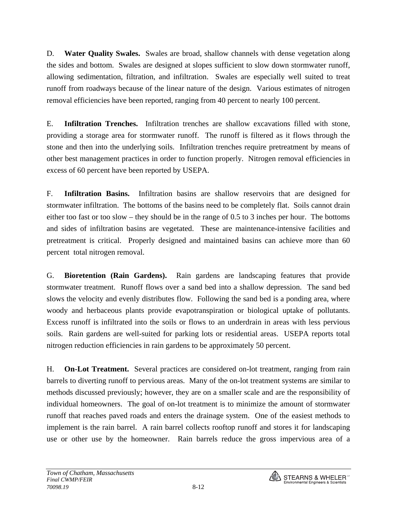D. **Water Quality Swales.** Swales are broad, shallow channels with dense vegetation along the sides and bottom. Swales are designed at slopes sufficient to slow down stormwater runoff, allowing sedimentation, filtration, and infiltration. Swales are especially well suited to treat runoff from roadways because of the linear nature of the design. Various estimates of nitrogen removal efficiencies have been reported, ranging from 40 percent to nearly 100 percent.

E. **Infiltration Trenches.** Infiltration trenches are shallow excavations filled with stone, providing a storage area for stormwater runoff. The runoff is filtered as it flows through the stone and then into the underlying soils. Infiltration trenches require pretreatment by means of other best management practices in order to function properly. Nitrogen removal efficiencies in excess of 60 percent have been reported by USEPA.

F. **Infiltration Basins.** Infiltration basins are shallow reservoirs that are designed for stormwater infiltration. The bottoms of the basins need to be completely flat. Soils cannot drain either too fast or too slow – they should be in the range of 0.5 to 3 inches per hour. The bottoms and sides of infiltration basins are vegetated. These are maintenance-intensive facilities and pretreatment is critical. Properly designed and maintained basins can achieve more than 60 percent total nitrogen removal.

G. **Bioretention (Rain Gardens).** Rain gardens are landscaping features that provide stormwater treatment. Runoff flows over a sand bed into a shallow depression. The sand bed slows the velocity and evenly distributes flow. Following the sand bed is a ponding area, where woody and herbaceous plants provide evapotranspiration or biological uptake of pollutants. Excess runoff is infiltrated into the soils or flows to an underdrain in areas with less pervious soils. Rain gardens are well-suited for parking lots or residential areas. USEPA reports total nitrogen reduction efficiencies in rain gardens to be approximately 50 percent.

H. **On-Lot Treatment.** Several practices are considered on-lot treatment, ranging from rain barrels to diverting runoff to pervious areas. Many of the on-lot treatment systems are similar to methods discussed previously; however, they are on a smaller scale and are the responsibility of individual homeowners. The goal of on-lot treatment is to minimize the amount of stormwater runoff that reaches paved roads and enters the drainage system. One of the easiest methods to implement is the rain barrel. A rain barrel collects rooftop runoff and stores it for landscaping use or other use by the homeowner. Rain barrels reduce the gross impervious area of a

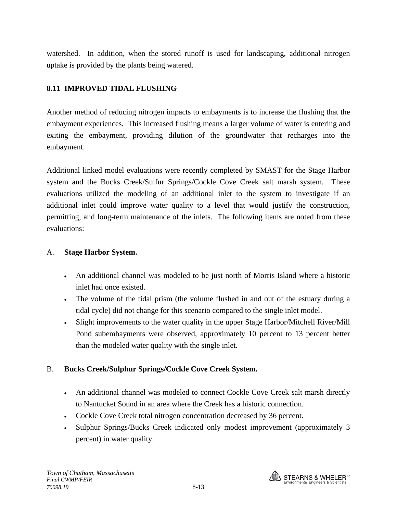watershed. In addition, when the stored runoff is used for landscaping, additional nitrogen uptake is provided by the plants being watered.

## **8.11 IMPROVED TIDAL FLUSHING**

Another method of reducing nitrogen impacts to embayments is to increase the flushing that the embayment experiences. This increased flushing means a larger volume of water is entering and exiting the embayment, providing dilution of the groundwater that recharges into the embayment.

Additional linked model evaluations were recently completed by SMAST for the Stage Harbor system and the Bucks Creek/Sulfur Springs/Cockle Cove Creek salt marsh system. These evaluations utilized the modeling of an additional inlet to the system to investigate if an additional inlet could improve water quality to a level that would justify the construction, permitting, and long-term maintenance of the inlets. The following items are noted from these evaluations:

## A. **Stage Harbor System.**

- An additional channel was modeled to be just north of Morris Island where a historic inlet had once existed.
- The volume of the tidal prism (the volume flushed in and out of the estuary during a tidal cycle) did not change for this scenario compared to the single inlet model.
- Slight improvements to the water quality in the upper Stage Harbor/Mitchell River/Mill Pond subembayments were observed, approximately 10 percent to 13 percent better than the modeled water quality with the single inlet.

## B. **Bucks Creek/Sulphur Springs/Cockle Cove Creek System.**

- An additional channel was modeled to connect Cockle Cove Creek salt marsh directly to Nantucket Sound in an area where the Creek has a historic connection.
- Cockle Cove Creek total nitrogen concentration decreased by 36 percent.
- Sulphur Springs/Bucks Creek indicated only modest improvement (approximately 3 percent) in water quality.

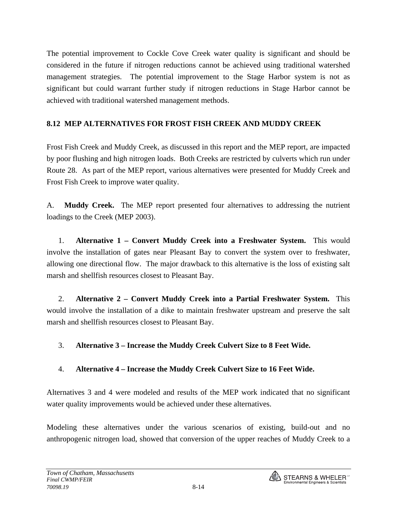The potential improvement to Cockle Cove Creek water quality is significant and should be considered in the future if nitrogen reductions cannot be achieved using traditional watershed management strategies. The potential improvement to the Stage Harbor system is not as significant but could warrant further study if nitrogen reductions in Stage Harbor cannot be achieved with traditional watershed management methods.

## **8.12 MEP ALTERNATIVES FOR FROST FISH CREEK AND MUDDY CREEK**

Frost Fish Creek and Muddy Creek, as discussed in this report and the MEP report, are impacted by poor flushing and high nitrogen loads. Both Creeks are restricted by culverts which run under Route 28. As part of the MEP report, various alternatives were presented for Muddy Creek and Frost Fish Creek to improve water quality.

A. **Muddy Creek.** The MEP report presented four alternatives to addressing the nutrient loadings to the Creek (MEP 2003).

1. **Alternative 1 – Convert Muddy Creek into a Freshwater System.** This would involve the installation of gates near Pleasant Bay to convert the system over to freshwater, allowing one directional flow. The major drawback to this alternative is the loss of existing salt marsh and shellfish resources closest to Pleasant Bay.

2. **Alternative 2 – Convert Muddy Creek into a Partial Freshwater System.** This would involve the installation of a dike to maintain freshwater upstream and preserve the salt marsh and shellfish resources closest to Pleasant Bay.

## 3. **Alternative 3 – Increase the Muddy Creek Culvert Size to 8 Feet Wide.**

## 4. **Alternative 4 – Increase the Muddy Creek Culvert Size to 16 Feet Wide.**

Alternatives 3 and 4 were modeled and results of the MEP work indicated that no significant water quality improvements would be achieved under these alternatives.

Modeling these alternatives under the various scenarios of existing, build-out and no anthropogenic nitrogen load, showed that conversion of the upper reaches of Muddy Creek to a

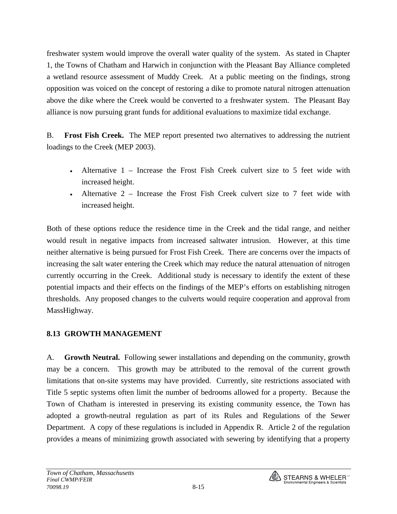freshwater system would improve the overall water quality of the system. As stated in Chapter 1, the Towns of Chatham and Harwich in conjunction with the Pleasant Bay Alliance completed a wetland resource assessment of Muddy Creek. At a public meeting on the findings, strong opposition was voiced on the concept of restoring a dike to promote natural nitrogen attenuation above the dike where the Creek would be converted to a freshwater system. The Pleasant Bay alliance is now pursuing grant funds for additional evaluations to maximize tidal exchange.

B. **Frost Fish Creek.** The MEP report presented two alternatives to addressing the nutrient loadings to the Creek (MEP 2003).

- Alternative 1 Increase the Frost Fish Creek culvert size to 5 feet wide with increased height.
- Alternative  $2$  Increase the Frost Fish Creek culvert size to 7 feet wide with increased height.

Both of these options reduce the residence time in the Creek and the tidal range, and neither would result in negative impacts from increased saltwater intrusion. However, at this time neither alternative is being pursued for Frost Fish Creek. There are concerns over the impacts of increasing the salt water entering the Creek which may reduce the natural attenuation of nitrogen currently occurring in the Creek. Additional study is necessary to identify the extent of these potential impacts and their effects on the findings of the MEP's efforts on establishing nitrogen thresholds. Any proposed changes to the culverts would require cooperation and approval from MassHighway.

## **8.13 GROWTH MANAGEMENT**

A. **Growth Neutral.** Following sewer installations and depending on the community, growth may be a concern. This growth may be attributed to the removal of the current growth limitations that on-site systems may have provided. Currently, site restrictions associated with Title 5 septic systems often limit the number of bedrooms allowed for a property. Because the Town of Chatham is interested in preserving its existing community essence, the Town has adopted a growth-neutral regulation as part of its Rules and Regulations of the Sewer Department. A copy of these regulations is included in Appendix R. Article 2 of the regulation provides a means of minimizing growth associated with sewering by identifying that a property

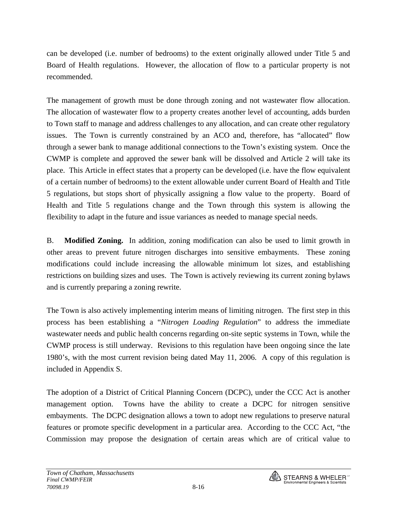can be developed (i.e. number of bedrooms) to the extent originally allowed under Title 5 and Board of Health regulations. However, the allocation of flow to a particular property is not recommended.

The management of growth must be done through zoning and not wastewater flow allocation. The allocation of wastewater flow to a property creates another level of accounting, adds burden to Town staff to manage and address challenges to any allocation, and can create other regulatory issues. The Town is currently constrained by an ACO and, therefore, has "allocated" flow through a sewer bank to manage additional connections to the Town's existing system. Once the CWMP is complete and approved the sewer bank will be dissolved and Article 2 will take its place. This Article in effect states that a property can be developed (i.e. have the flow equivalent of a certain number of bedrooms) to the extent allowable under current Board of Health and Title 5 regulations, but stops short of physically assigning a flow value to the property. Board of Health and Title 5 regulations change and the Town through this system is allowing the flexibility to adapt in the future and issue variances as needed to manage special needs.

B. **Modified Zoning.** In addition, zoning modification can also be used to limit growth in other areas to prevent future nitrogen discharges into sensitive embayments. These zoning modifications could include increasing the allowable minimum lot sizes, and establishing restrictions on building sizes and uses. The Town is actively reviewing its current zoning bylaws and is currently preparing a zoning rewrite.

The Town is also actively implementing interim means of limiting nitrogen. The first step in this process has been establishing a "*Nitrogen Loading Regulation*" to address the immediate wastewater needs and public health concerns regarding on-site septic systems in Town, while the CWMP process is still underway. Revisions to this regulation have been ongoing since the late 1980's, with the most current revision being dated May 11, 2006. A copy of this regulation is included in Appendix S.

The adoption of a District of Critical Planning Concern (DCPC), under the CCC Act is another management option. Towns have the ability to create a DCPC for nitrogen sensitive embayments. The DCPC designation allows a town to adopt new regulations to preserve natural features or promote specific development in a particular area. According to the CCC Act, "the Commission may propose the designation of certain areas which are of critical value to